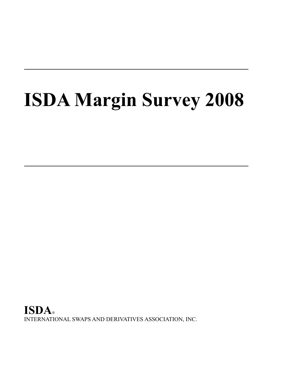# **ISDA Margin Survey 2008**

**ISDA**® INTERNATIONAL SWAPS AND DERIVATIVES ASSOCIATION, INC.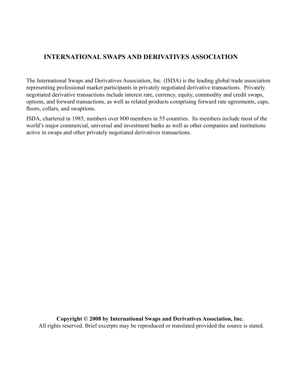# **INTERNATIONAL SWAPS AND DERIVATIVES ASSOCIATION**

The International Swaps and Derivatives Association, Inc. (ISDA) is the leading global trade association representing professional market participants in privately negotiated derivative transactions. Privately negotiated derivative transactions include interest rate, currency, equity, commodity and credit swaps, options, and forward transactions, as well as related products comprising forward rate agreements, caps, floors, collars, and swaptions.

ISDA, chartered in 1985, numbers over 800 members in 55 countries. Its members include most of the world's major commercial, universal and investment banks as well as other companies and institutions active in swaps and other privately negotiated derivatives transactions.

**Copyright © 2008 by International Swaps and Derivatives Association, Inc.**

All rights reserved. Brief excerpts may be reproduced or translated provided the source is stated.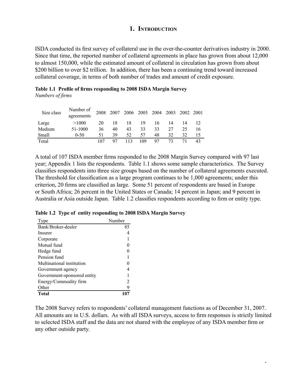## **1. Introduction**

ISDA conducted its first survey of collateral use in the over-the-counter derivatives industry in 2000. Since that time, the reported number of collateral agreements in place has grown from about 12,000 to almost 150,000, while the estimated amount of collateral in circulation has grown from about \$200 billion to over \$2 trillion. In addition, there has been a continuing trend toward increased collateral coverage, in terms of both number of trades and amount of credit exposure.

|                  | Table 1.1 Profile of firms responding to 2008 ISDA Margin Survey |  |  |  |
|------------------|------------------------------------------------------------------|--|--|--|
| Numbers of firms |                                                                  |  |  |  |

| Size class | Number of  | 2008 | 2007 |     |     | 2006 2005 2004 2003 |    | 2002 2001 |    |
|------------|------------|------|------|-----|-----|---------------------|----|-----------|----|
|            | agreements |      |      |     |     |                     |    |           |    |
| Large      | >1000      | 20   | 18   | 18  | 19  | 16                  | 14 | 14        |    |
| Medium     | 51-1000    | 36   | 40   | 43  | 33  | 33                  | 27 | 25.       |    |
| Small      | $0-50$     | 51   | 39   | 52  | 57  | 48                  | 32 | 32        |    |
| Total      |            | 107  | 97   | 113 | 109 | 97                  | 73 | 71        | 43 |

A total of 107 ISDA member firms responded to the 2008 Margin Survey compared with 97 last year; Appendix 1 lists the respondents. Table 1.1 shows some sample characteristics. The Survey classifies respondents into three size groups based on the number of collateral agreements executed. The threshold for classification as a large program continues to be 1,000 agreements; under this criterion, 20 firms are classified as large. Some 51 percent of respondents are based in Europe or South Africa; 26 percent in the United States or Canada; 14 percent in Japan; and 9 percent in Australia or Asia outside Japan. Table 1.2 classifies respondents according to firm or entity type.

|  |  |  | Table 1.2 Type of entity responding to 2008 ISDA Margin Survey |  |  |  |  |
|--|--|--|----------------------------------------------------------------|--|--|--|--|
|--|--|--|----------------------------------------------------------------|--|--|--|--|

| Type                        | Number |
|-----------------------------|--------|
| Bank/Broker-dealer          | 85     |
| Insurer                     |        |
| Corporate                   |        |
| Mutual fund                 |        |
| Hedge fund                  |        |
| Pension fund                |        |
| Multinational institution   |        |
| Government agency           |        |
| Government-sponsored entity |        |
| Energy/Commodity firm       | 2      |
| Other                       | 9      |
| <b>Total</b>                |        |

The 2008 Survey refers to respondents' collateral management functions as of December 31, 2007. All amounts are in U.S. dollars. As with all ISDA surveys, access to firm responses is strictly limited to selected ISDA staff and the data are not shared with the employee of any ISDA member firm or any other outside party.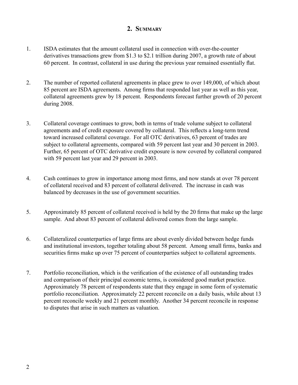## **2. Summary**

- 1. ISDA estimates that the amount collateral used in connection with over-the-counter derivatives transactions grew from \$1.3 to \$2.1 trillion during 2007, a growth rate of about 60 percent. In contrast, collateral in use during the previous year remained essentially flat.
- 2. The number of reported collateral agreements in place grew to over 149,000, of which about 85 percent are ISDA agreements. Among firms that responded last year as well as this year, collateral agreements grew by 18 percent. Respondents forecast further growth of 20 percent during 2008.
- 3. Collateral coverage continues to grow, both in terms of trade volume subject to collateral agreements and of credit exposure covered by collateral. This reflects a long-term trend toward increased collateral coverage. For all OTC derivatives, 63 percent of trades are subject to collateral agreements, compared with 59 percent last year and 30 percent in 2003. Further, 65 percent of OTC derivative credit exposure is now covered by collateral compared with 59 percent last year and 29 percent in 2003.
- 4. Cash continues to grow in importance among most firms, and now stands at over 78 percent of collateral received and 83 percent of collateral delivered. The increase in cash was balanced by decreases in the use of government securities.
- 5. Approximately 85 percent of collateral received is held by the 20 firms that make up the large sample. And about 83 percent of collateral delivered comes from the large sample.
- 6. Collateralized counterparties of large firms are about evenly divided between hedge funds and institutional investors, together totaling about 58 percent. Among small firms, banks and securities firms make up over 75 percent of counterparties subject to collateral agreements.
- 7. Portfolio reconciliation, which is the verification of the existence of all outstanding trades and comparison of their principal economic terms, is considered good market practice. Approximately 78 percent of respondents state that they engage in some form of systematic portfolio reconciliation. Approximately 22 percent reconcile on a daily basis, while about 13 percent reconcile weekly and 21 percent monthly. Another 34 percent reconcile in response to disputes that arise in such matters as valuation.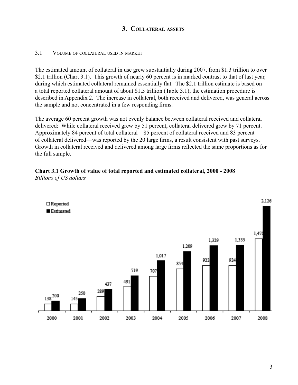## **3. Collateral assets**

## 3.1 Volume of collateral used in market

The estimated amount of collateral in use grew substantially during 2007, from \$1.3 trillion to over \$2.1 trillion (Chart 3.1). This growth of nearly 60 percent is in marked contrast to that of last year, during which estimated collateral remained essentially flat. The \$2.1 trillion estimate is based on a total reported collateral amount of about \$1.5 trillion (Table 3.1); the estimation procedure is described in Appendix 2. The increase in collateral, both received and delivered, was general across the sample and not concentrated in a few responding firms.

The average 60 percent growth was not evenly balance between collateral received and collateral delivered: While collateral received grew by 51 percent, collateral delivered grew by 71 percent. Approximately 84 percent of total collateral—85 percent of collateral received and 83 percent of collateral delivered—was reported by the 20 large firms, a result consistent with past surveys. Growth in collateral received and delivered among large firms reflected the same proportions as for the full sample.

#### **Chart 3.1 Growth of value of total reported and estimated collateral, 2000 - 2008** *Billions of US dollars*

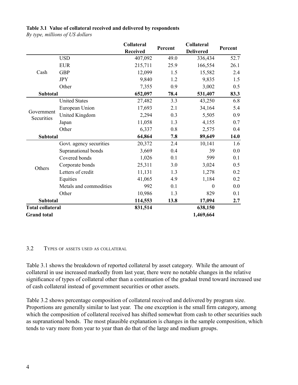#### **Table 3.1 Value of collateral received and delivered by respondents**

*By type, millions of US dollars*

|                          |                         | Collateral<br><b>Received</b> | Percent | Collateral<br><b>Delivered</b> | Percent |  |
|--------------------------|-------------------------|-------------------------------|---------|--------------------------------|---------|--|
|                          | <b>USD</b>              | 407,092                       | 49.0    | 336,434                        | 52.7    |  |
|                          | <b>EUR</b>              | 215,711                       | 25.9    | 166,554                        | 26.1    |  |
| Cash                     | <b>GBP</b>              | 12,099                        | 1.5     | 15,582                         | 2.4     |  |
|                          | <b>JPY</b>              | 9,840                         | 1.2     | 9,835                          | 1.5     |  |
|                          | Other                   | 7,355                         | 0.9     | 3,002                          | 0.5     |  |
| <b>Subtotal</b>          |                         | 652,097                       | 78.4    | 531,407                        | 83.3    |  |
|                          | <b>United States</b>    | 27,482                        | 3.3     | 43,250                         | 6.8     |  |
|                          | European Union          | 17,693                        | 2.1     | 34,164                         | 5.4     |  |
| Government<br>Securities | United Kingdom          | 2,294                         | 0.3     | 5,505                          | 0.9     |  |
|                          | Japan                   | 11,058                        | 1.3     | 4,155                          | 0.7     |  |
|                          | Other                   | 6,337                         | 0.8     | 2,575                          | 0.4     |  |
| <b>Subtotal</b>          |                         | 64,864                        | 7.8     | 89,649                         | 14.0    |  |
|                          | Govt. agency securities | 20,372                        | 2.4     | 10,141                         | 1.6     |  |
|                          | Supranational bonds     | 3,669                         | 0.4     | 39                             | 0.0     |  |
|                          | Covered bonds           | 1,026                         | 0.1     | 599                            | 0.1     |  |
| Others                   | Corporate bonds         | 25,311                        | 3.0     | 3,024                          | 0.5     |  |
|                          | Letters of credit       | 11,131                        | 1.3     | 1,278                          | 0.2     |  |
|                          | Equities                | 41,065                        | 4.9     | 1,184                          | 0.2     |  |
|                          | Metals and commodities  | 992                           | 0.1     | $\Omega$                       | 0.0     |  |
|                          | Other                   | 10,986                        | 1.3     | 829                            | 0.1     |  |
| <b>Subtotal</b>          |                         | 114,553                       | 13.8    | 17,094                         | 2.7     |  |
| <b>Total collateral</b>  |                         | 831,514                       |         | 638,150                        |         |  |
| <b>Grand</b> total       |                         |                               |         | 1,469,664                      |         |  |

3.2 Types of assets used as collateral

Table 3.1 shows the breakdown of reported collateral by asset category. While the amount of collateral in use increased markedly from last year, there were no notable changes in the relative significance of types of collateral other than a continuation of the gradual trend toward increased use of cash collateral instead of government securities or other assets.

Table 3.2 shows percentage composition of collateral received and delivered by program size. Proportions are generally similar to last year. The one exception is the small firm category, among which the composition of collateral received has shifted somewhat from cash to other securities such as supranational bonds. The most plausible explanation is changes in the sample composition, which tends to vary more from year to year than do that of the large and medium groups.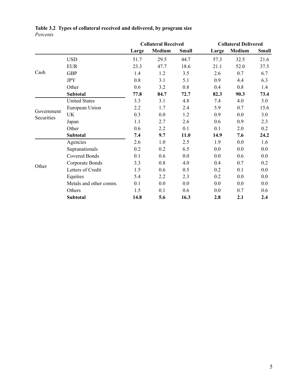|                          |                        |       | <b>Collateral Received</b> |              | <b>Collateral Delivered</b> |               |              |  |
|--------------------------|------------------------|-------|----------------------------|--------------|-----------------------------|---------------|--------------|--|
|                          |                        | Large | <b>Medium</b>              | <b>Small</b> | Large                       | <b>Medium</b> | <b>Small</b> |  |
|                          | <b>USD</b>             | 51.7  | 29.5                       | 44.7         | 57.3                        | 32.5          | 21.6         |  |
|                          | <b>EUR</b>             | 23.3  | 47.7                       | 18.6         | 21.1                        | 52.0          | 37.5         |  |
| Cash                     | <b>GBP</b>             | 1.4   | 1.2                        | 3.5          | 2.6                         | 0.7           | 6.7          |  |
|                          | <b>JPY</b>             | 0.8   | 3.1                        | 5.1          | 0.9                         | 4.4           | 6.3          |  |
|                          | Other                  | 0.6   | 3.2                        | 0.8          | 0.4                         | 0.8           | 1.4          |  |
|                          | <b>Subtotal</b>        | 77.8  | 84.7                       | 72.7         | 82.3                        | 90.3          | 73.4         |  |
|                          | <b>United States</b>   | 3.3   | 3.1                        | 4.8          | 7.4                         | 4.0           | 3.0          |  |
| Government<br>Securities | European Union         | 2.2   | 1.7                        | 2.4          | 5.9                         | 0.7           | 15.6         |  |
|                          | UK                     | 0.3   | 0.0                        | 1.2          | 0.9                         | 0.0           | 3.0          |  |
|                          | Japan                  | 1.1   | 2.7                        | 2.6          | 0.6                         | 0.9           | 2.3          |  |
|                          | Other                  | 0.6   | 2.2                        | 0.1          | 0.1                         | 2.0           | 0.2          |  |
|                          | Subtotal               | 7.4   | 9.7                        | 11.0         | 14.9                        | 7.6           | 24.2         |  |
|                          | Agencies               | 2.6   | 1.0                        | 2.5          | 1.9                         | 0.0           | 1.6          |  |
| Other                    | Supranationals         | 0.2   | 0.2                        | 6.5          | 0.0                         | 0.0           | 0.0          |  |
|                          | <b>Covered Bonds</b>   | 0.1   | 0.6                        | 0.0          | 0.0                         | 0.6           | $0.0\,$      |  |
|                          | Corporate Bonds        | 3.3   | 0.8                        | 4.0          | 0.4                         | 0.7           | 0.2          |  |
|                          | Letters of Credit      | 1.5   | 0.6                        | 0.5          | 0.2                         | 0.1           | 0.0          |  |
|                          | Equities               | 5.4   | 2.2                        | 2.3          | 0.2                         | 0.0           | 0.0          |  |
|                          | Metals and other comm. | 0.1   | 0.0                        | 0.0          | 0.0                         | $0.0\,$       | $0.0\,$      |  |
|                          | Others                 | 1.5   | 0.1                        | 0.6          | 0.0                         | 0.7           | 0.6          |  |
|                          | <b>Subtotal</b>        | 14.8  | 5.6                        | 16.3         | 2.8                         | 2.1           | 2.4          |  |

## **Table 3.2 Types of collateral received and delivered, by program size** *Percents*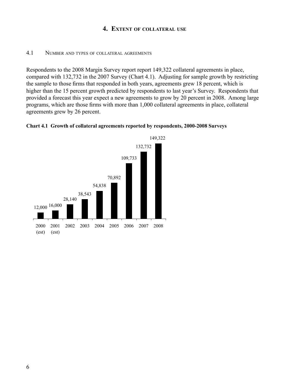## **4. Extent of collateral use**

#### 4.1 Number and types of collateral agreements

Respondents to the 2008 Margin Survey report report 149,322 collateral agreements in place, compared with 132,732 in the 2007 Survey (Chart 4.1). Adjusting for sample growth by restricting the sample to those firms that responded in both years, agreements grew 18 percent, which is higher than the 15 percent growth predicted by respondents to last year's Survey. Respondents that provided a forecast this year expect a new agreements to grow by 20 percent in 2008. Among large programs, which are those firms with more than 1,000 collateral agreements in place, collateral agreements grew by 26 percent.



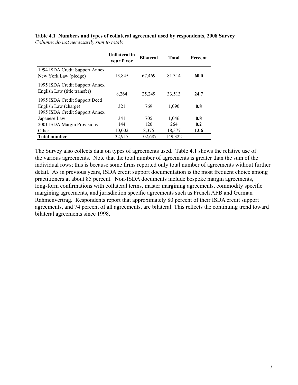|                                                                                         | Unilateral in<br>your favor | <b>Bilateral</b> | <b>Total</b>  | Percent     |
|-----------------------------------------------------------------------------------------|-----------------------------|------------------|---------------|-------------|
| 1994 ISDA Credit Support Annex<br>New York Law (pledge)                                 | 13,845                      | 67,469           | 81,314        | 60.0        |
| 1995 ISDA Credit Support Annex<br>English Law (title transfer)                          | 8,264                       | 25,249           | 33,513        | 24.7        |
| 1995 ISDA Credit Support Deed<br>English Law (charge)<br>1995 ISDA Credit Support Annex | 321                         | 769              | 1,090         | 0.8         |
| Japanese Law                                                                            | 341                         | 705              | 1,046         | 0.8         |
| 2001 ISDA Margin Provisions<br>Other                                                    | 144<br>10,002               | 120<br>8,375     | 264<br>18,377 | 0.2<br>13.6 |
| <b>Total number</b>                                                                     | 32,917                      | 102,687          | 149,322       |             |

**Table 4.1 Numbers and types of collateral agreement used by respondents, 2008 Survey** *Columns do not necessarily sum to totals*

The Survey also collects data on types of agreements used. Table 4.1 shows the relative use of the various agreements. Note that the total number of agreements is greater than the sum of the individual rows; this is because some firms reported only total number of agreements without further detail. As in previous years, ISDA credit support documentation is the most frequent choice among practitioners at about 85 percent. Non-ISDA documents include bespoke margin agreements, long-form confirmations with collateral terms, master margining agreements, commodity specific margining agreements, and jurisdiction specific agreements such as French AFB and German Rahmenvertrag. Respondents report that approximately 80 percent of their ISDA credit support agreements, and 74 percent of all agreements, are bilateral. This reflects the continuing trend toward bilateral agreements since 1998.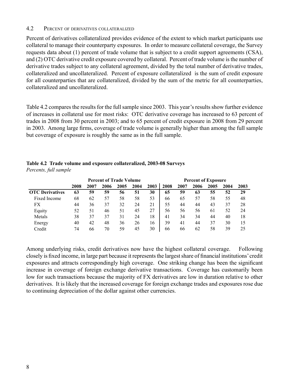### 4.2 Percent of derivatives collateralized

Percent of derivatives collateralized provides evidence of the extent to which market participants use collateral to manage their counterparty exposures. In order to measure collateral coverage, the Survey requests data about (1) percent of trade volume that is subject to a credit support agreements (CSA), and (2) OTC derivative credit exposure covered by collateral. Percent of trade volume is the number of derivative trades subject to any collateral agreement, divided by the total number of derivative trades, collateralized and uncollateralized. Percent of exposure collateralized is the sum of credit exposure for all counterparties that are collateralized, divided by the sum of the metric for all counterparties, collateralized and uncollateralized.

Table 4.2 compares the results for the full sample since 2003. This year's results show further evidence of increases in collateral use for most risks: OTC derivative coverage has increased to 63 percent of trades in 2008 from 30 percent in 2003; and to 65 percent of credit exposure in 2008 from 29 percent in 2003. Among large firms, coverage of trade volume is generally higher than among the full sample but coverage of exposure is roughly the same as in the full sample.

|                        | <b>Percent of Trade Volume</b> |      |      |      |      | <b>Percent of Exposure</b> |      |      |      |      |      |      |
|------------------------|--------------------------------|------|------|------|------|----------------------------|------|------|------|------|------|------|
|                        | 2008                           | 2007 | 2006 | 2005 | 2004 | 2003                       | 2008 | 2007 | 2006 | 2005 | 2004 | 2003 |
| <b>OTC</b> Derivatives | 63                             | 59   | 59   | 56   | 51   | 30                         | 65   | 59   | 63   | 55   | 52   | 29   |
| Fixed Income           | 68                             | 62   | 57   | 58   | 58   | 53                         | 66   | 65   | 57   | 58   | 55   | 48   |
| FX                     | 44                             | 36   | 37   | 32   | 24   | 21                         | 55   | 44   | 44   | 43   | 37   | 28   |
| Equity                 | 52                             | 51   | 46   | 51   | 45   | 27                         | 56   | 56   | 56   | 61   | 52   | 24   |
| Metals                 | 38                             | 37   | 37   | 31   | 24   | 18                         | 41   | 34   | 34   | 44   | 40   | 18   |
| Energy                 | 40                             | 42   | 48   | 36   | 26   | 16                         | 39   | 41   | 44   | 37   | 30   | 15   |
| Credit                 | 74                             | 66   | 70   | 59   | 45   | 30                         | 66   | 66   | 62   | 58   | 39   | 25   |

### **Table 4.2 Trade volume and exposure collateralized, 2003-08 Surveys** *Percents, full sample*

Among underlying risks, credit derivatives now have the highest collateral coverage. Following closely is fixed income, in large part because it represents the largest share of financial institutions' credit exposures and attracts correspondingly high coverage. One striking change has been the significant increase in coverage of foreign exchange derivative transactions. Coverage has customarily been low for such transactions because the majority of FX derivatives are low in duration relative to other derivatives. It is likely that the increased coverage for foreign exchange trades and exposures rose due to continuing depreciation of the dollar against other currencies.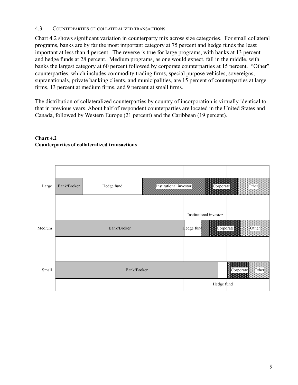## 4.3 Counterparties of collateralized transactions

Chart 4.2 shows significant variation in counterparty mix across size categories. For small collateral programs, banks are by far the most important category at 75 percent and hedge funds the least important at less than 4 percent. The reverse is true for large programs, with banks at 13 percent and hedge funds at 28 percent. Medium programs, as one would expect, fall in the middle, with banks the largest category at 60 percent followed by corporate counterparties at 15 percent. "Other" counterparties, which includes commodity trading firms, special purpose vehicles, sovereigns, supranationals, private banking clients, and municipalities, are 15 percent of counterparties at large firms, 13 percent at medium firms, and 9 percent at small firms.

The distribution of collateralized counterparties by country of incorporation is virtually identical to that in previous years. About half of respondent counterparties are located in the United States and Canada, followed by Western Europe (21 percent) and the Caribbean (19 percent).



## **Chart 4.2 Counterparties of collateralized transactions**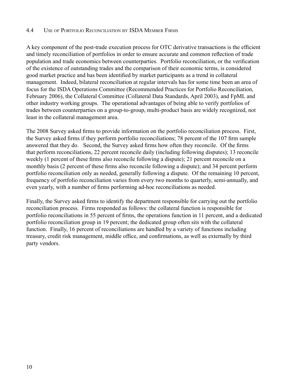## 4.4 Use of Portfolio Reconciliation by ISDA Member Firms

A key component of the post-trade execution process for OTC derivative transactions is the efficient and timely reconciliation of portfolios in order to ensure accurate and common reflection of trade population and trade economics between counterparties. Portfolio reconciliation, or the verification of the existence of outstanding trades and the comparison of their economic terms, is considered good market practice and has been identified by market participants as a trend in collateral management. Indeed, bilateral reconciliation at regular intervals has for some time been an area of focus for the ISDA Operations Committee (Recommended Practices for Portfolio Reconciliation, February 2006), the Collateral Committee (Collateral Data Standards, April 2003), and FpML and other industry working groups. The operational advantages of being able to verify portfolios of trades between counterparties on a group-to-group, multi-product basis are widely recognized, not least in the collateral management area.

The 2008 Survey asked firms to provide information on the portfolio reconciliation process. First, the Survey asked firms if they perform portfolio reconciliations; 78 percent of the 107 firm sample answered that they do. Second, the Survey asked firms how often they reconcile. Of the firms that perform reconciliations, 22 percent reconcile daily (including following disputes); 13 reconcile weekly (1 percent of these firms also reconcile following a dispute); 21 percent reconcile on a monthly basis (2 percent of these firms also reconcile following a dispute); and 34 percent perform portfolio reconciliation only as needed, generally following a dispute. Of the remaining 10 percent, frequency of portfolio reconciliation varies from every two months to quarterly, semi-annually, and even yearly, with a number of firms performing ad-hoc reconciliations as needed.

Finally, the Survey asked firms to identify the department responsible for carrying out the portfolio reconciliation process. Firms responded as follows: the collateral function is responsible for portfolio reconciliations in 55 percent of firms, the operations function in 11 percent, and a dedicated portfolio reconciliation group in 19 percent; the dedicated group often sits with the collateral function. Finally, 16 percent of reconciliations are handled by a variety of functions including treasury, credit risk management, middle office, and confirmations, as well as externally by third party vendors.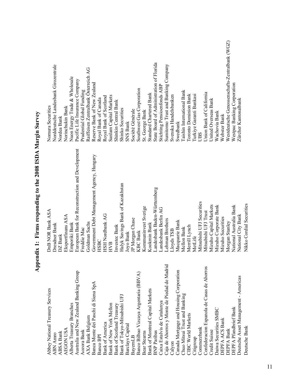| j                                   |
|-------------------------------------|
|                                     |
| D                                   |
|                                     |
|                                     |
| ļ                                   |
|                                     |
| $\frac{1}{2}$                       |
|                                     |
|                                     |
|                                     |
|                                     |
|                                     |
|                                     |
| $\frac{1}{2}$                       |
|                                     |
| D                                   |
|                                     |
| i                                   |
| <b>Contractor of the contractor</b> |
| I                                   |
|                                     |
|                                     |
|                                     |
|                                     |
| i                                   |
|                                     |
|                                     |
|                                     |
|                                     |
|                                     |
|                                     |
| $\sim$ $\sim$ $\sim$                |
|                                     |

DEPFA Bank Morgan Stanley Westdeutsche Genossenschafts-Zentralbank (WGZ) BNP Paribas Landesbank Baden-Württemberg State Board of Administration of Florida Caja de Ahorros y Monte de Piedad de Madrid Lehman Brothers Sumitomo Trust and Banking Company ABN Amro Norddeutsche Bank Dresdner Bank Norddeutsche Landesbank Girozentrale AXA Bank Belgium Goldman Sachs Raiffeisen Zentralbank Österreich AG Alberta Treasury Branches Emporiki Bank Emporiki Bank Nuon Energy Trade & Wholesale Australia and New Zealand Banking Group European Bank for Reconstruction and Development Pacific Life Insurance Company Banca Monte dei Paschi di Siena SpA Government Debt Management Agency, Hungary Reserve Bank of New Zealand DEPFA Pfandbrief Bank and a Pfandbrief Bank National Australia Bank Nestpac Banking Corporation Caixa Estalvis de Catalunya Landesbank Berlin AG Stichting Pensioenfonds ABP Banco Bilbao Vizcaya Argentaria (BBVA) KBC Bank KBC Bank Aozora Bank Freddie Mac Prudential Global Funding Chuo Mitsui Trust and Banking Mellon Bank Taishin International Bank Confederacion Espanola de Casas de Ahorros Mitsubishi UFJ Trust Union Bank of California Bank of Montreal Capital Markets Kookmin Bank Kookmin Bank Standard Chartered Bank CIBC World Markets Merrill Lynch Merrill Lynch Toronto Dominion Bank Citigroup MetLife Turkiye Garanti Bankasi Bank of New York Mellon Sanlam Capital Markets Bank of America HSH Nordbank AG Royal Bank of Scotland Calyon Lloyds TSB Svenska Handelsbanken Banco BPI Royal Bank of Canada Credit Suisse United Overseas Bank Deutsche Asset Management - Americas National City Bank Zürcher Kantonalbank Bank of Scotland Treasury Investec Bank Investec Bank Shinkin Central Bank Abbey National Treasury Services DnB NOR Bank ASA Nomura Securities AEGON USA Eksportfinans ASA Northans ASA Norinchukin Bank Bank of Tokyo-Mitsubishi UFJ Halyk Savings Bank of Kazakhstan Shinko Securities BayernLB Société Générale JP Morgan Chase Bear Stearns Stearns Kommuninvest Sverige Sterige Stearns Daiwa Securities SMBC Mizuho Corporate Bank Wachovia Bank Wachovia Bank DEPFA ACS Bank Mizuho Securities Mizuho Securities Webster Bank ABSA Bank DZ Bank DZ Bank Nordea Bank Barclays Capital Gank SNS Bank SNS Bank SNS Bank SNS Bank SNS Bank SNS Bank SNS Bank SNS Bank SNS Bank SNS Bank Canada Mortgage and Housing Corporation Macquarie Bank Swedbank Commerzbank Mitsubishi UFJ Securities UBS **European Bank for Reconstruction and Development** Government Debt Management Agency, Hungary Halyk Savings Bank of Kazakhstan andesbank Baden-Württemberg Mitsubishi UFJ Securities Deutsche Bank Nikko Cordial Securities Nikko Cordial Securities Mizuho Capital Markets National Australia Bank Mizuho Corporate Bank Kommuninvest Sverige andesbank Berlin AG **OnB NOR Bank ASA** Mitsubishi UFJ Trust **National City Bank HSH Nordbank AG** Eksportfinans ASA **Mizuho Securities** IP Morgan Chase **chman** Brothers Macquarie Bank Morgan Stanley **Goldman Sachs Emporiki Bank** Kookmin Bank **Dresdner Bank** nvestec Bank Merrill Lynch **Mellon Bank** Freddie Mac loyds TSB **KBC** Bank oyo Bank DZ Bank MetLife **HSBC HVB** Caja de Ahorros y Monte de Piedad de Madrid Confederacion Espanola de Casas de Ahorros Canada Mortgage and Housing Corporation Australia and New Zealand Banking Group Banco Bilbao Vizcaya Argentaria (BBVA) Deutsche Asset Management - Americas Banca Monte dei Paschi di Siena SpA Abbey National Treasury Services Bank of Montreal Capital Markets Chuo Mitsui Trust and Banking Bank of Tokyo-Mitsubishi UFJ Caixa Estalvis de Catalunya Alberta Treasury Branches Bank of New York Mellon Bank of Scotland Treasury **DEPFA Pfandbrief Bank** Daiwa Securities SMBC **CIBC World Markets** AXA Bank Belgium **DEPFA ACS Bank Bank of America** Barclays Capital Deutsche Bank Commerzbank **DEPFA Bank AEGON USA** Credit Suisse Aozora Bank **BNP** Paribas Bear Stearns **ABSA Bank ABN** Amro Banco BPI **BayemLB** Citigroup Calyon

Westdeutsche Genossenschafts-Zentralbank (WGZ) State Board of Administration of Florida Sumitomo Trust and Banking Company Norddeutsche Landesbank Girozentrale Raiffeisen Zentralbank Österreich AG Nuon Energy Trade & Wholesale Pacific Life Insurance Company Westpac Banking Corporation Reserve Bank of New Zealand Stichting Pensioenfonds ABP Southwest Gas Corporation Prudential Global Funding aishin International Bank Union Bank of California Standard Chartered Bank lurkiye Garanti Bankasi Sanlam Capital Markets Svenska Handelsbanken oronto Dominion Bank Royal Bank of Scotland Royal Bank of Canada United Overseas Bank Zürcher Kantonalbank Shinkin Central Bank **Nomura Securities** Norinchukin Bank Shinko Securities Société Générale St. George Bank Wachovia Bank Webster Bank Nordea Bank **SNS Bank** Swedbank **JBS**